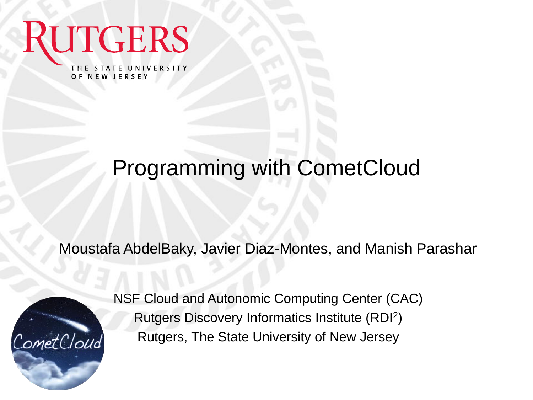THE STATE UNIVERSITY OF NEW JERSEY

**RUTGERS** 

#### Programming with CometCloud

Moustafa AbdelBaky, Javier Diaz-Montes, and Manish Parashar



NSF Cloud and Autonomic Computing Center (CAC) Rutgers Discovery Informatics Institute (RDI<sup>2</sup> ) Rutgers, The State University of New Jersey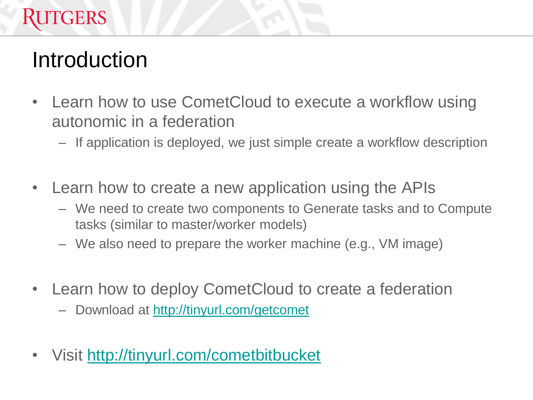#### **RUTGERS**

#### **Introduction**

- Learn how to use CometCloud to execute a workflow using autonomic in a federation
	- If application is deployed, we just simple create a workflow description
- Learn how to create a new application using the APIs
	- We need to create two components to Generate tasks and to Compute tasks (similar to master/worker models)
	- We also need to prepare the worker machine (e.g., VM image)
- Learn how to deploy CometCloud to create a federation
	- Download at <http://tinyurl.com/getcomet>
- Visit <http://tinyurl.com/cometbitbucket>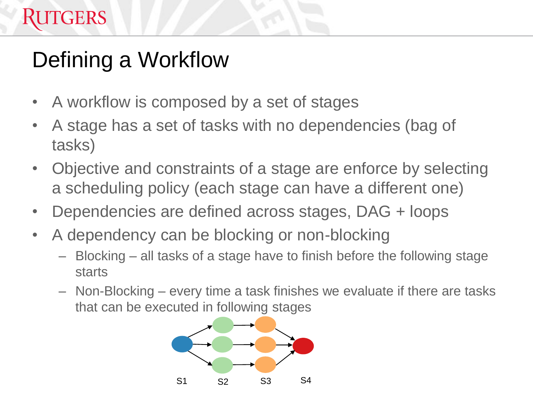# Defining a Workflow

**RUTGERS** 

- A workflow is composed by a set of stages
- A stage has a set of tasks with no dependencies (bag of tasks)
- Objective and constraints of a stage are enforce by selecting a scheduling policy (each stage can have a different one)
- Dependencies are defined across stages, DAG + loops
- A dependency can be blocking or non-blocking
	- Blocking all tasks of a stage have to finish before the following stage starts
	- Non-Blocking every time a task finishes we evaluate if there are tasks that can be executed in following stages

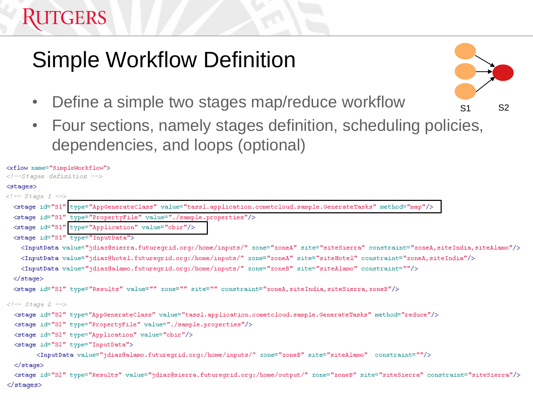#### **TGERS**

#### Simple Workflow Definition

- Define a simple two stages map/reduce workflow
- Four sections, namely stages definition, scheduling policies, dependencies, and loops (optional)

S1 S2

```
<xflow name="SimpleWorkflow">
\langle !--Stages definition -->
<stages>
\langle!-- Stage 1 -->
  <stage id="S1" type="AppGenerateClass" value="tassl.application.cometcloud.sample.GenerateTasks" method="map"/>
 <stage id="S1" type="PropertyFile" value="./sample.properties"/>
  <stage id="S1" type="Application" value="cbir"/>
 <stage id="S1" type="InputData">
    <InputData value="jdiaz@sierra.futuregrid.org:/home/inputs/" zone="zoneA" site="siteSierra" constraint="zoneA,siteIndia,siteAlamo"/>
    <InputData value="jdiaz@hotel.futureqrid.org:/home/inputs/" zone="zoneA" site="siteHotel" constraint="zoneA,siteIndia"/>
    <InputData value="jdiaz@alamo.futureqrid.org:/home/inputs/" zone="zoneB" site="siteAlamo" constraint=""/>
  \langlestage>
  <stage id="S1" type="Results" value="" zone="" site="" constraint="zoneA, siteIndia, siteSierra, zoneB"/>
\langle!-- Stage 2 -->
  <stage id="S2" type="AppGenerateClass" value="tassl.application.cometcloud.sample.GenerateTasks" method="reduce"/>
  <stage id="S2" type="PropertyFile" value="./sample.properties"/>
  <stage id="S2" type="Application" value="cbir"/>
  <stage id="S2" type="InputData">
        <InputData value="jdiaz@alamo.futureqrid.orq:/home/inputs/" zone="zoneB" site="siteAlamo" constraint=""/>
  </stage>
  <stage id="S2" type="Results" value="jdiaz@sierra.futuregrid.org:/home/output/" zone="zoneB" site="siteSierra" constraint="siteSierra"/>
</stages>
```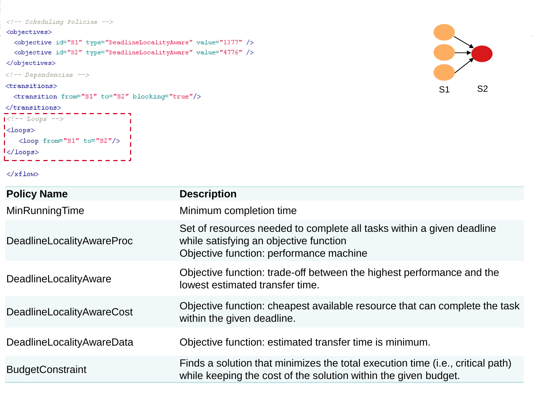```
\langle-- Scheduling Policies -->
```
#### <objectives>

```
<br />
<br />
<br />
<br />
dobjective id<br />
dd>
"s1" type="DeadlineLocalityAware" value="1377" />
<br />
<br />
<br />
<br />
dobjective<br />
id="S2" type="Deadline<br />Locality<br />Aware" value="4776" /><br />
```
</objectives>

```
\langle !-- Dependencies -->
```
#### $<$ transitions $>$

```
\langletransitions>
```

```
\prec !-- Loops \dashrightarrow\frac{1}{2}<loops>
\mathbf{L}<loop from="S1" to="S2"/>
I</loops>
```

```
S1 S2
```

```
</xflow>
```

| <b>Policy Name</b>               | <b>Description</b>                                                                                                                                         |
|----------------------------------|------------------------------------------------------------------------------------------------------------------------------------------------------------|
| MinRunningTime                   | Minimum completion time                                                                                                                                    |
| <b>DeadlineLocalityAwareProc</b> | Set of resources needed to complete all tasks within a given deadline<br>while satisfying an objective function<br>Objective function: performance machine |
| DeadlineLocalityAware            | Objective function: trade-off between the highest performance and the<br>lowest estimated transfer time.                                                   |
| <b>DeadlineLocalityAwareCost</b> | Objective function: cheapest available resource that can complete the task<br>within the given deadline.                                                   |
| DeadlineLocalityAwareData        | Objective function: estimated transfer time is minimum.                                                                                                    |
| <b>BudgetConstraint</b>          | Finds a solution that minimizes the total execution time (i.e., critical path)<br>while keeping the cost of the solution within the given budget.          |
|                                  |                                                                                                                                                            |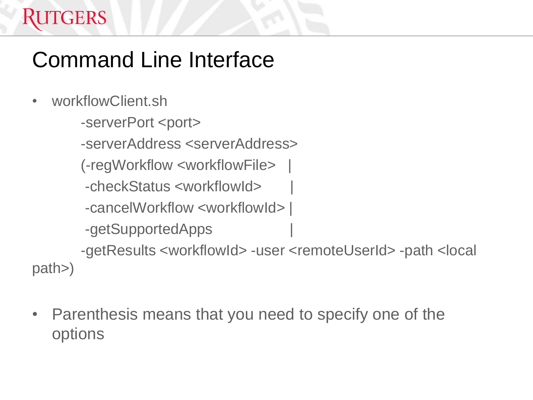## Command Line Interface

• workflowClient.sh

**RUTGERS** 

- -serverPort <port>
- -serverAddress <serverAddress>
- (-regWorkflow <workflowFile> |
- -checkStatus <workflowId> |
- -cancelWorkflow <workflowId> |
- -getSupportedApps |

 -getResults <workflowId> -user <remoteUserId> -path <local path>)

• Parenthesis means that you need to specify one of the options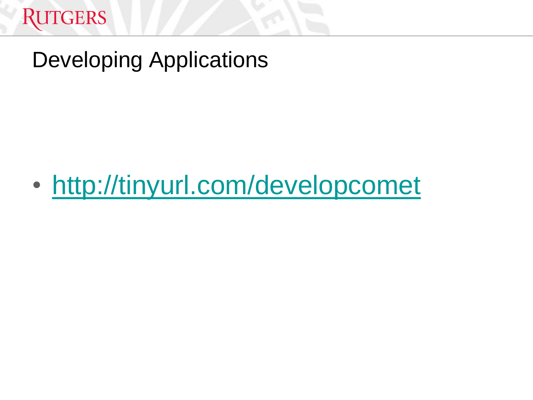

#### Developing Applications

• <http://tinyurl.com/developcomet>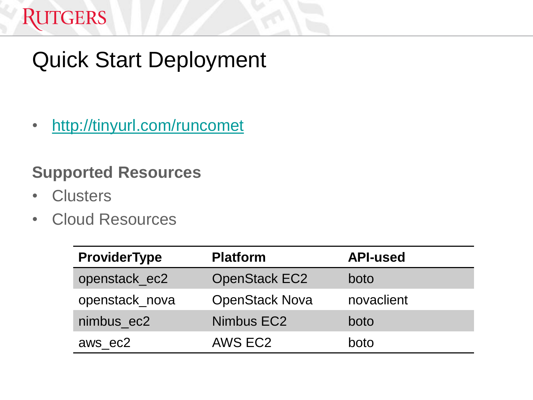#### **RUTGERS**

### Quick Start Deployment

• <http://tinyurl.com/runcomet>

#### **Supported Resources**

- Clusters
- Cloud Resources

| <b>ProviderType</b> | <b>Platform</b>       | <b>API-used</b> |
|---------------------|-----------------------|-----------------|
| openstack_ec2       | <b>OpenStack EC2</b>  | boto            |
| openstack_nova      | <b>OpenStack Nova</b> | novaclient      |
| nimbus_ec2          | Nimbus EC2            | boto            |
| aws ec2             | AWS EC2               | boto            |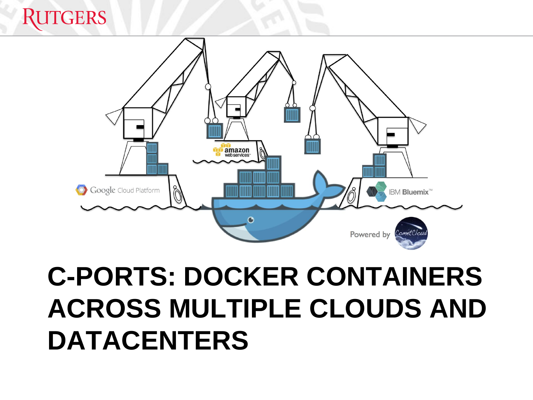# **RUTGERS** amazon<br>webservices Google Cloud Platform **IBM Bluemix<sup>™</sup>** Powered by

# **C-PORTS: DOCKER CONTAINERS ACROSS MULTIPLE CLOUDS AND DATACENTERS**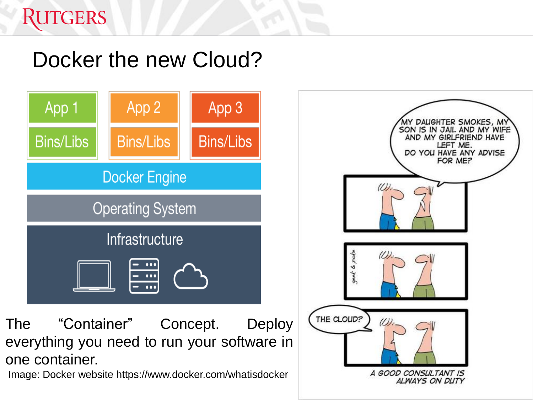#### Docker the new Cloud?



Image: Docker website https://www.docker.com/whatisdocker